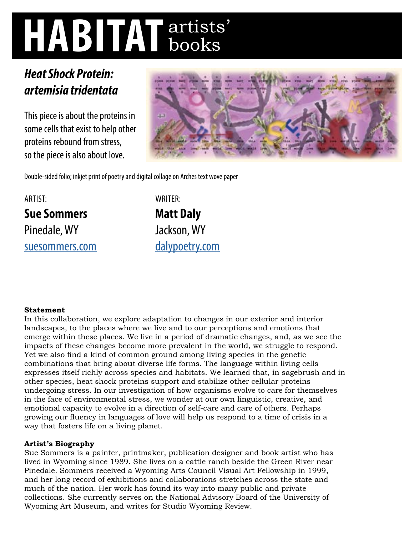# **HABITAT** artists' books

# *Heat Shock Protein: artemisia tridentata*

This piece is about the proteins in some cells that exist to help other proteins rebound from stress, so the piece is also about love.



Double-sided folio; inkjet print of poetry and digital collage on Arches text wove paper

## ARTIST: **Sue Sommers**  Pinedale, WY [suesommers.com](http://suesommers.com)

WRITER:

**Matt Daly**  Jackson, WY [dalypoetry.com](http://dalypoetry.com)

## **Statement**

In this collaboration, we explore adaptation to changes in our exterior and interior landscapes, to the places where we live and to our perceptions and emotions that emerge within these places. We live in a period of dramatic changes, and, as we see the impacts of these changes become more prevalent in the world, we struggle to respond. Yet we also find a kind of common ground among living species in the genetic combinations that bring about diverse life forms. The language within living cells expresses itself richly across species and habitats. We learned that, in sagebrush and in other species, heat shock proteins support and stabilize other cellular proteins undergoing stress. In our investigation of how organisms evolve to care for themselves in the face of environmental stress, we wonder at our own linguistic, creative, and emotional capacity to evolve in a direction of self-care and care of others. Perhaps growing our fluency in languages of love will help us respond to a time of crisis in a way that fosters life on a living planet.

### **Artist's Biography**

Sue Sommers is a painter, printmaker, publication designer and book artist who has lived in Wyoming since 1989. She lives on a cattle ranch beside the Green River near Pinedale. Sommers received a Wyoming Arts Council Visual Art Fellowship in 1999, and her long record of exhibitions and collaborations stretches across the state and much of the nation. Her work has found its way into many public and private collections. She currently serves on the National Advisory Board of the University of Wyoming Art Museum, and writes for Studio Wyoming Review.